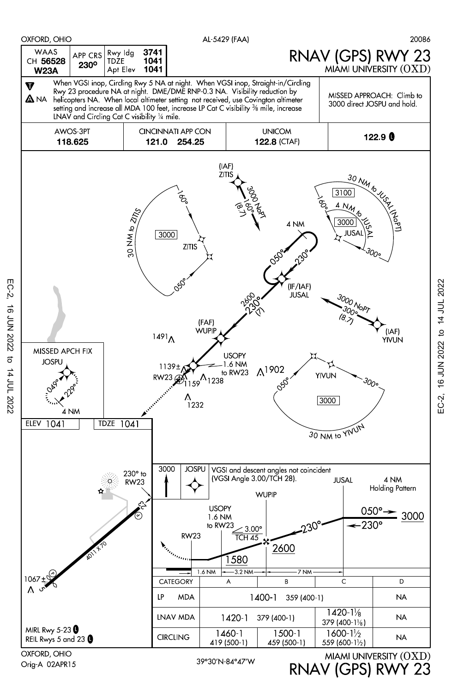

Orig-A 02APR15

RNAV (GPS) RWY 23

EC-2, 16 JUN 2022 to 14 JUL 2022